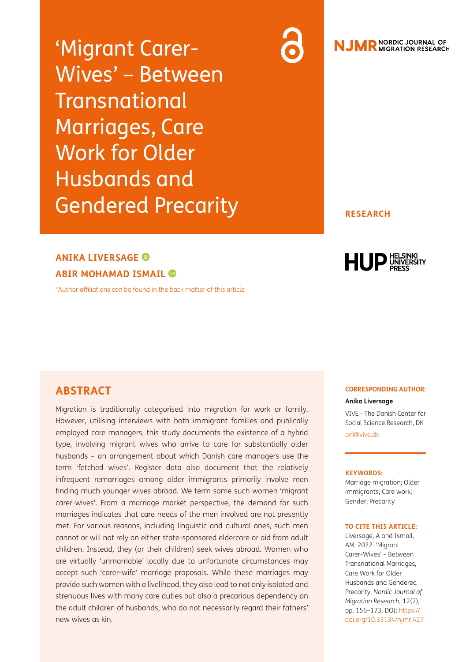'Migrant Carer-Wives' – Between **Transnational** Marriages, Care Work for Older Husbands and Gendered Precarity

# **NJMR** NORDIC JOURNAL OF

#### **RESEARCH**

# **ANIKA LIVERSAGE**

**ABIR MOHAMAD ISMAIL**

[\\*Author affiliations can be found in the back matter of this article](#page-13-0)



#### **ABSTRACT**

Migration is traditionally categorised into migration for work or family. However, utilising interviews with both immigrant families and publically employed care managers, this study documents the existence of a hybrid type, involving migrant wives who arrive to care for substantially older husbands – an arrangement about which Danish care managers use the term 'fetched wives'. Register data also document that the relatively infrequent remarriages among older immigrants primarily involve men finding much younger wives abroad. We term some such women 'migrant carer-wives'. From a marriage market perspective, the demand for such marriages indicates that care needs of the men involved are not presently met. For various reasons, including linguistic and cultural ones, such men cannot or will not rely on either state-sponsored eldercare or aid from adult children. Instead, they (or their children) seek wives abroad. Women who are virtually 'unmarriable' locally due to unfortunate circumstances may accept such 'carer-wife' marriage proposals. While these marriages may provide such women with a livelihood, they also lead to not only isolated and strenuous lives with many care duties but also a precarious dependency on the adult children of husbands, who do not necessarily regard their fathers' new wives as kin.

#### **CORRESPONDING AUTHOR:**

#### **Anika Liversage**

VIVE - The Danish Center for Social Science Research, DK [ani@vive.dk](mailto:ani@vive.dk)

#### **KEYWORDS:**

Marriage migration; Older immigrants; Care work; Gender; Precarity

#### **TO CITE THIS ARTICLE:**

Liversage, A and Ismail, AM. 2022. 'Migrant Carer-Wives' – Between Transnational Marriages, Care Work for Older Husbands and Gendered Precarity. *Nordic Journal of Migration Research,* 12(2), pp. 156–173. DOI: [https://](https://doi.org/10.33134/njmr.427) [doi.org/10.33134/njmr.427](https://doi.org/10.33134/njmr.427)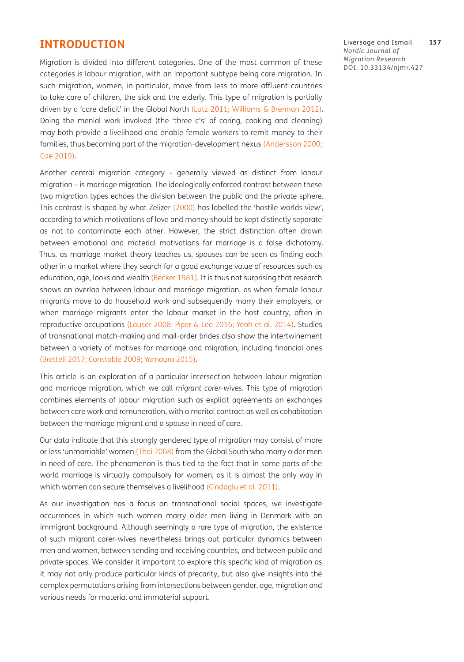#### **INTRODUCTION**

Migration is divided into different categories. One of the most common of these categories is labour migration, with an important subtype being care migration. In such migration, women, in particular, move from less to more affluent countries to take care of children, the sick and the elderly. This type of migration is partially driven by a 'care deficit' in the Global North ([Lutz 2011;](#page-16-0) Williams & Brennan 2012). Doing the menial work involved (the 'three c's' of caring, cooking and cleaning) may both provide a livelihood and enable female workers to remit money to their families, thus becoming part of the migration-development nexus [\(Andersson 2000;](#page-13-1) [Coe 2019](#page-14-0)).

Another central migration category – generally viewed as distinct from labour migration – is marriage migration. The ideologically enforced contrast between these two migration types echoes the division between the public and the private sphere. This contrast is shaped by what Zelizer (2000) has labelled the 'hostile worlds view', according to which motivations of love and money should be kept distinctly separate as not to contaminate each other. However, the strict distinction often drawn between emotional and material motivations for marriage is a false dichotomy. Thus, as marriage market theory teaches us, spouses can be seen as finding each other in a market where they search for a good exchange value of resources such as education, age, looks and wealth [\(Becker 1981](#page-14-1)). It is thus not surprising that research shows an overlap between labour and marriage migration, as when female labour migrants move to do household work and subsequently marry their employers, or when marriage migrants enter the labour market in the host country, often in reproductive occupations ([Lauser 2008;](#page-15-0) [Piper & Lee 2016;](#page-16-1) Yeoh et al. 2014). Studies of transnational match-making and mail-order brides also show the intertwinement between a variety of motives for marriage and migration, including financial ones [\(Brettell 2017](#page-14-2); [Constable 2009;](#page-14-3) Yamaura 2015).

This article is an exploration of a particular intersection between labour migration and marriage migration, which we call *migrant carer-wives.* This type of migration combines elements of labour migration such as explicit agreements on exchanges between care work and remuneration, with a marital contract as well as cohabitation between the marriage migrant and a spouse in need of care.

Our data indicate that this strongly gendered type of migration may consist of more or less 'unmarriable' women (Thai 2008) from the Global South who marry older men in need of care. The phenomenon is thus tied to the fact that in some parts of the world marriage is virtually compulsory for women, as it is almost the only way in which women can secure themselves a livelihood ([Cindoglu et al. 2011\)](#page-14-4).

As our investigation has a focus on transnational social spaces, we investigate occurrences in which such women marry older men living in Denmark with an immigrant background. Although seemingly a rare type of migration, the existence of such migrant carer-wives nevertheless brings out particular dynamics between men and women, between sending and receiving countries, and between public and private spaces. We consider it important to explore this specific kind of migration as it may not only produce particular kinds of precarity, but also give insights into the complex permutations arising from intersections between gender, age, migration and various needs for material and immaterial support.

Liversage and Ismail **157** *Nordic Journal of Migration Research* DOI: [10.33134/njmr.427](https://doi.org/10.33134/njmr.427)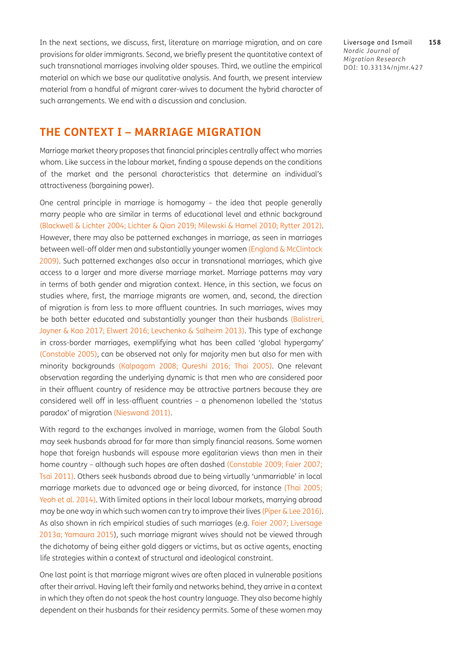In the next sections, we discuss, first, literature on marriage migration, and on care provisions for older immigrants. Second, we briefly present the quantitative context of such transnational marriages involving older spouses. Third, we outline the empirical material on which we base our qualitative analysis. And fourth, we present interview material from a handful of migrant carer-wives to document the hybrid character of such arrangements. We end with a discussion and conclusion.

Liversage and Ismail **158** *Nordic Journal of Migration Research* DOI: [10.33134/njmr.427](https://doi.org/10.33134/njmr.427)

#### **THE CONTEXT I – MARRIAGE MIGRATION**

Marriage market theory proposes that financial principles centrally affect who marries whom. Like success in the labour market, finding a spouse depends on the conditions of the market and the personal characteristics that determine an individual's attractiveness (bargaining power).

One central principle in marriage is homogamy – the idea that people generally marry people who are similar in terms of educational level and ethnic background [\(Blackwell & Lichter 2004;](#page-14-5) [Lichter & Qian 2019](#page-15-1); [Milewski & Hamel 2010;](#page-16-2) [Rytter 2012\)](#page-16-3). However, there may also be patterned exchanges in marriage, as seen in marriages between well-off older men and substantially younger women ([England & McClintock](#page-14-6)  [2009](#page-14-6)). Such patterned exchanges also occur in transnational marriages, which give access to a larger and more diverse marriage market. Marriage patterns may vary in terms of both gender and migration context. Hence, in this section, we focus on studies where, first, the marriage migrants are women, and, second, the direction of migration is from less to more affluent countries. In such marriages, wives may be both better educated and substantially younger than their husbands ([Balistreri,](#page-13-2) [Joyner & Kao 2017](#page-13-2); [Elwert 2016;](#page-14-7) [Levchenko & Solheim 2013](#page-15-2)). This type of exchange in cross-border marriages, exemplifying what has been called 'global hypergamy' [\(Constable 2005](#page-14-8)), can be observed not only for majority men but also for men with minority backgrounds ([Kalpagam 2008;](#page-15-3) [Qureshi 2016;](#page-16-4) Thai 2005). One relevant observation regarding the underlying dynamic is that men who are considered poor in their affluent country of residence may be attractive partners because they are considered well off in less-affluent countries – a phenomenon labelled the 'status paradox' of migration [\(Nieswand 2011\)](#page-16-5).

With regard to the exchanges involved in marriage, women from the Global South may seek husbands abroad for far more than simply financial reasons. Some women hope that foreign husbands will espouse more egalitarian views than men in their home country – although such hopes are often dashed ([Constable 2009](#page-14-3); [Faier 2007;](#page-15-4) Tsai 2011). Others seek husbands abroad due to being virtually 'unmarriable' in local marriage markets due to advanced age or being divorced, for instance (Thai 2005; Yeoh et al. 2014). With limited options in their local labour markets, marrying abroad may be one way in which such women can try to improve their lives (Piper  $\&$  Lee 2016). As also shown in rich empirical studies of such marriages (e.g. [Faier 2007;](#page-15-4) [Liversage](#page-16-6)  [2013a;](#page-16-6) Yamaura 2015), such marriage migrant wives should not be viewed through the dichotomy of being either gold diggers or victims, but as active agents, enacting life strategies within a context of structural and ideological constraint.

One last point is that marriage migrant wives are often placed in vulnerable positions after their arrival. Having left their family and networks behind, they arrive in a context in which they often do not speak the host country language. They also become highly dependent on their husbands for their residency permits. Some of these women may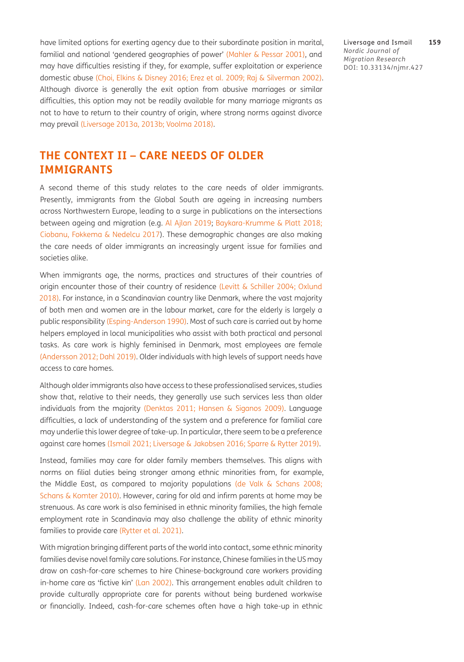have limited options for exerting agency due to their subordinate position in marital, familial and national 'gendered geographies of power' ([Mahler & Pessar 2001\)](#page-16-7), and may have difficulties resisting if they, for example, suffer exploitation or experience domestic abuse ([Choi, Elkins & Disney 2016](#page-14-9); [Erez et al. 2009;](#page-15-5) [Raj & Silverman 2002\)](#page-16-8). Although divorce is generally the exit option from abusive marriages or similar difficulties, this option may not be readily available for many marriage migrants as not to have to return to their country of origin, where strong norms against divorce may prevail [\(Liversage 2013a](#page-16-6), [2013b](#page-16-9); Voolma 2018).

Liversage and Ismail **159** *Nordic Journal of Migration Research* DOI: [10.33134/njmr.427](https://doi.org/10.33134/njmr.427)

## **THE CONTEXT II – CARE NEEDS OF OLDER IMMIGRANTS**

A second theme of this study relates to the care needs of older immigrants. Presently, immigrants from the Global South are ageing in increasing numbers across Northwestern Europe, leading to a surge in publications on the intersections between ageing and migration (e.g. [Al Ajlan 2019](#page-13-3); [Baykara-Krumme & Platt 2018;](#page-14-10) [Ciobanu, Fokkema & Nedelcu 2017](#page-14-11)). These demographic changes are also making the care needs of older immigrants an increasingly urgent issue for families and societies alike.

When immigrants age, the norms, practices and structures of their countries of origin encounter those of their country of residence [\(Levitt & Schiller 2004;](#page-15-6) [Oxlund](#page-16-10)  [2018](#page-16-10)). For instance, in a Scandinavian country like Denmark, where the vast majority of both men and women are in the labour market, care for the elderly is largely a public responsibility ([Esping-Anderson 1990](#page-15-7)). Most of such care is carried out by home helpers employed in local municipalities who assist with both practical and personal tasks. As care work is highly feminised in Denmark, most employees are female [\(Andersson 2012](#page-13-4); [Dahl 2019](#page-14-12)). Older individuals with high levels of support needs have access to care homes.

Although older immigrants also have access to these professionalised services, studies show that, relative to their needs, they generally use such services less than older individuals from the majority [\(Denktas 2011](#page-14-13); [Hansen & Siganos 2009](#page-15-8)). Language difficulties, a lack of understanding of the system and a preference for familial care may underlie this lower degree of take-up. In particular, there seem to be a preference against care homes ([Ismail 2021;](#page-15-9) [Liversage & Jakobsen 2016;](#page-16-11) [Sparre & Rytter 2019\)](#page-17-0).

Instead, families may care for older family members themselves. This aligns with norms on filial duties being stronger among ethnic minorities from, for example, the Middle East, as compared to majority populations (de Valk & Schans 2008; [Schans & Komter 2010](#page-17-1)). However, caring for old and infirm parents at home may be strenuous. As care work is also feminised in ethnic minority families, the high female employment rate in Scandinavia may also challenge the ability of ethnic minority families to provide care [\(Rytter et al. 2021\)](#page-16-12).

With migration bringing different parts of the world into contact, some ethnic minority families devise novel family care solutions. For instance, Chinese families in the US may draw on cash-for-care schemes to hire Chinese-background care workers providing in-home care as 'fictive kin' [\(Lan 2002](#page-15-10)). This arrangement enables adult children to provide culturally appropriate care for parents without being burdened workwise or financially. Indeed, cash-for-care schemes often have a high take-up in ethnic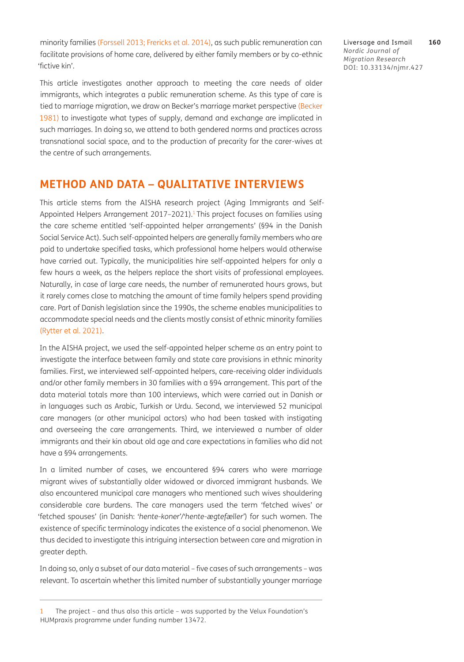minority families [\(Forssell 2013;](#page-15-11) [Frericks et al. 2014](#page-15-12)), as such public remuneration can facilitate provisions of home care, delivered by either family members or by co-ethnic 'fictive kin'.

This article investigates another approach to meeting the care needs of older immigrants, which integrates a public remuneration scheme. As this type of care is tied to marriage migration, we draw on [Becker](#page-14-1)'s marriage market perspective (Becker [1981\)](#page-14-1) to investigate what types of supply, demand and exchange are implicated in such marriages. In doing so, we attend to both gendered norms and practices across transnational social space, and to the production of precarity for the carer-wives at the centre of such arrangements.

#### **METHOD AND DATA – QUALITATIVE INTERVIEWS**

This article stems from the AISHA research project (Aging Immigrants and Self-Appointed Helpers Arrangement 2017-2021).<sup>1</sup> This project focuses on families using the care scheme entitled 'self-appointed helper arrangements' (§94 in the Danish Social Service Act). Such self-appointed helpers are generally family members who are paid to undertake specified tasks, which professional home helpers would otherwise have carried out. Typically, the municipalities hire self-appointed helpers for only a few hours a week, as the helpers replace the short visits of professional employees. Naturally, in case of large care needs, the number of remunerated hours grows, but it rarely comes close to matching the amount of time family helpers spend providing care. Part of Danish legislation since the 1990s, the scheme enables municipalities to accommodate special needs and the clients mostly consist of ethnic minority families [\(Rytter et al. 2021\)](#page-16-12).

In the AISHA project, we used the self-appointed helper scheme as an entry point to investigate the interface between family and state care provisions in ethnic minority families. First, we interviewed self-appointed helpers, care-receiving older individuals and/or other family members in 30 families with a §94 arrangement. This part of the data material totals more than 100 interviews, which were carried out in Danish or in languages such as Arabic, Turkish or Urdu. Second, we interviewed 52 municipal care managers (or other municipal actors) who had been tasked with instigating and overseeing the care arrangements. Third, we interviewed a number of older immigrants and their kin about old age and care expectations in families who did not have a §94 arrangements.

In a limited number of cases, we encountered §94 carers who were marriage migrant wives of substantially older widowed or divorced immigrant husbands. We also encountered municipal care managers who mentioned such wives shouldering considerable care burdens. The care managers used the term 'fetched wives' or 'fetched spouses' (in Danish: '*hente-koner'/'hente-ægtefæller'*) for such women. The existence of specific terminology indicates the existence of a social phenomenon. We thus decided to investigate this intriguing intersection between care and migration in greater depth.

In doing so, only a subset of our data material – five cases of such arrangements – was relevant. To ascertain whether this limited number of substantially younger marriage

Liversage and Ismail **160** *Nordic Journal of Migration Research* DOI: [10.33134/njmr.427](https://doi.org/10.33134/njmr.427)

<span id="page-4-0"></span><sup>1</sup> The project – and thus also this article – was supported by the Velux Foundation's HUMpraxis programme under funding number 13472.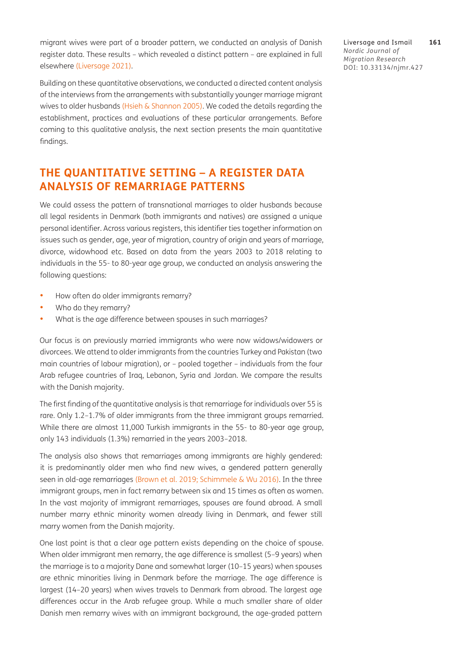migrant wives were part of a broader pattern, we conducted an analysis of Danish register data. These results – which revealed a distinct pattern – are explained in full elsewhere ([Liversage 2021\)](#page-16-13).

Building on these quantitative observations, we conducted a directed content analysis of the interviews from the arrangements with substantially younger marriage migrant wives to older husbands [\(Hsieh & Shannon 2005\)](#page-15-13). We coded the details regarding the establishment, practices and evaluations of these particular arrangements. Before coming to this qualitative analysis, the next section presents the main quantitative findings.

## **THE QUANTITATIVE SETTING – A REGISTER DATA ANALYSIS OF REMARRIAGE PATTERNS**

We could assess the pattern of transnational marriages to older husbands because all legal residents in Denmark (both immigrants and natives) are assigned a unique personal identifier. Across various registers, this identifier ties together information on issues such as gender, age, year of migration, country of origin and years of marriage, divorce, widowhood etc. Based on data from the years 2003 to 2018 relating to individuals in the 55- to 80-year age group, we conducted an analysis answering the following questions:

- How often do older immigrants remarry?
- Who do they remarry?
- What is the age difference between spouses in such marriages?

Our focus is on previously married immigrants who were now widows/widowers or divorcees. We attend to older immigrants from the countries Turkey and Pakistan (two main countries of labour migration), or – pooled together – individuals from the four Arab refugee countries of Iraq, Lebanon, Syria and Jordan. We compare the results with the Danish majority.

The first finding of the quantitative analysis is that remarriage for individuals over 55 is rare. Only 1.2–1.7% of older immigrants from the three immigrant groups remarried. While there are almost 11,000 Turkish immigrants in the 55- to 80-year age group, only 143 individuals (1.3%) remarried in the years 2003–2018.

The analysis also shows that remarriages among immigrants are highly gendered: it is predominantly older men who find new wives, a gendered pattern generally seen in old-age remarriages [\(Brown et al. 2019](#page-14-14); [Schimmele & Wu 2016\)](#page-17-2). In the three immigrant groups, men in fact remarry between six and 15 times as often as women. In the vast majority of immigrant remarriages, spouses are found abroad. A small number marry ethnic minority women already living in Denmark, and fewer still marry women from the Danish majority.

One last point is that a clear age pattern exists depending on the choice of spouse. When older immigrant men remarry, the age difference is smallest (5–9 years) when the marriage is to a majority Dane and somewhat larger (10–15 years) when spouses are ethnic minorities living in Denmark before the marriage. The age difference is largest (14–20 years) when wives travels to Denmark from abroad. The largest age differences occur in the Arab refugee group. While a much smaller share of older Danish men remarry wives with an immigrant background, the age-graded pattern

Liversage and Ismail **161** *Nordic Journal of Migration Research* DOI: [10.33134/njmr.427](https://doi.org/10.33134/njmr.427)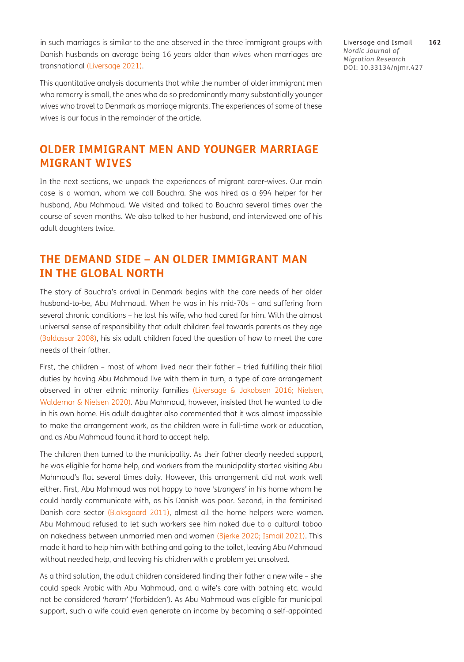in such marriages is similar to the one observed in the three immigrant groups with Danish husbands on average being 16 years older than wives when marriages are transnational [\(Liversage 2021](#page-16-13)).

This quantitative analysis documents that while the number of older immigrant men who remarry is small, the ones who do so predominantly marry substantially younger wives who travel to Denmark as marriage migrants. The experiences of some of these wives is our focus in the remainder of the article.

### **OLDER IMMIGRANT MEN AND YOUNGER MARRIAGE MIGRANT WIVES**

In the next sections, we unpack the experiences of migrant carer-wives. Our main case is a woman, whom we call Bouchra. She was hired as a §94 helper for her husband, Abu Mahmoud. We visited and talked to Bouchra several times over the course of seven months. We also talked to her husband, and interviewed one of his adult daughters twice.

## **THE DEMAND SIDE – AN OLDER IMMIGRANT MAN IN THE GLOBAL NORTH**

The story of Bouchra's arrival in Denmark begins with the care needs of her older husband-to-be, Abu Mahmoud. When he was in his mid-70s – and suffering from several chronic conditions – he lost his wife, who had cared for him. With the almost universal sense of responsibility that adult children feel towards parents as they age [\(Baldassar 2008\)](#page-13-5), his six adult children faced the question of how to meet the care needs of their father.

First, the children – most of whom lived near their father – tried fulfilling their filial duties by having Abu Mahmoud live with them in turn, a type of care arrangement observed in other ethnic minority families ([Liversage & Jakobsen 2016](#page-16-11); [Nielsen,](#page-16-14) [Waldemar & Nielsen 2020](#page-16-14)). Abu Mahmoud, however, insisted that he wanted to die in his own home. His adult daughter also commented that it was almost impossible to make the arrangement work, as the children were in full-time work or education, and as Abu Mahmoud found it hard to accept help.

The children then turned to the municipality. As their father clearly needed support, he was eligible for home help, and workers from the municipality started visiting Abu Mahmoud's flat several times daily. However, this arrangement did not work well either. First, Abu Mahmoud was not happy to have *'strangers'* in his home whom he could hardly communicate with, as his Danish was poor. Second, in the feminised Danish care sector ([Bloksgaard 2011\)](#page-14-15), almost all the home helpers were women. Abu Mahmoud refused to let such workers see him naked due to a cultural taboo on nakedness between unmarried men and women ([Bjerke](#page-14-16) 2020; [Ismail 2021\)](#page-15-9). This made it hard to help him with bathing and going to the toilet, leaving Abu Mahmoud without needed help, and leaving his children with a problem yet unsolved.

As a third solution, the adult children considered finding their father a new wife – she could speak Arabic with Abu Mahmoud, and a wife's care with bathing etc. would not be considered *'haram'* ('forbidden'). As Abu Mahmoud was eligible for municipal support, such a wife could even generate an income by becoming a self-appointed

Liversage and Ismail **162** *Nordic Journal of Migration Research* DOI: [10.33134/njmr.427](https://doi.org/10.33134/njmr.427)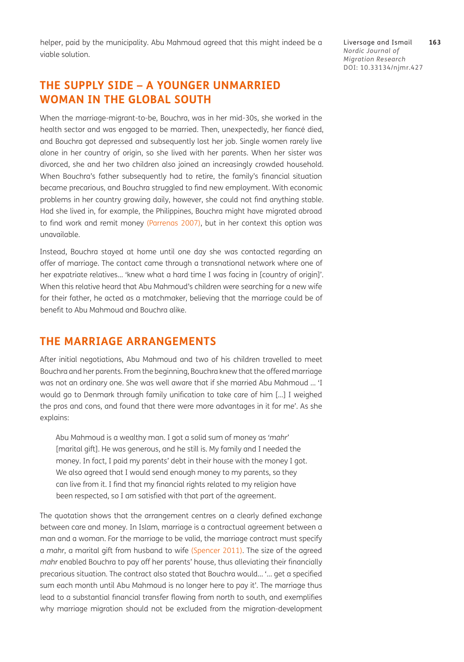helper, paid by the municipality. Abu Mahmoud agreed that this might indeed be a viable solution.

## **THE SUPPLY SIDE – A YOUNGER UNMARRIED WOMAN IN THE GLOBAL SOUTH**

When the marriage-migrant-to-be, Bouchra, was in her mid-30s, she worked in the health sector and was engaged to be married. Then, unexpectedly, her fiancé died, and Bouchra got depressed and subsequently lost her job. Single women rarely live alone in her country of origin, so she lived with her parents. When her sister was divorced, she and her two children also joined an increasingly crowded household. When Bouchra's father subsequently had to retire, the family's financial situation became precarious, and Bouchra struggled to find new employment. With economic problems in her country growing daily, however, she could not find anything stable. Had she lived in, for example, the Philippines, Bouchra might have migrated abroad to find work and remit money ([Parrenas 2007\)](#page-16-15), but in her context this option was unavailable.

Instead, Bouchra stayed at home until one day she was contacted regarding an offer of marriage. The contact came through a transnational network where one of her expatriate relatives… 'knew what a hard time I was facing in [country of origin]'. When this relative heard that Abu Mahmoud's children were searching for a new wife for their father, he acted as a matchmaker, believing that the marriage could be of benefit to Abu Mahmoud and Bouchra alike.

#### **THE MARRIAGE ARRANGEMENTS**

After initial negotiations, Abu Mahmoud and two of his children travelled to meet Bouchra and her parents. From the beginning, Bouchra knew that the offered marriage was not an ordinary one. She was well aware that if she married Abu Mahmoud … 'I would go to Denmark through family unification to take care of him […] I weighed the pros and cons, and found that there were more advantages in it for me'. As she explains:

Abu Mahmoud is a wealthy man. I got a solid sum of money as *'mahr'* [marital gift]. He was generous, and he still is. My family and I needed the money. In fact, I paid my parents' debt in their house with the money I got. We also agreed that I would send enough money to my parents, so they can live from it. I find that my financial rights related to my religion have been respected, so I am satisfied with that part of the agreement.

The quotation shows that the arrangement centres on a clearly defined exchange between care and money. In Islam, marriage is a contractual agreement between a man and a woman. For the marriage to be valid, the marriage contract must specify a *mahr*, a marital gift from husband to wife [\(Spencer 2011\)](#page-17-3). The size of the agreed *mahr* enabled Bouchra to pay off her parents' house, thus alleviating their financially precarious situation. The contract also stated that Bouchra would… '... get a specified sum each month until Abu Mahmoud is no longer here to pay it'. The marriage thus lead to a substantial financial transfer flowing from north to south, and exemplifies why marriage migration should not be excluded from the migration-development

Liversage and Ismail **163** *Nordic Journal of Migration Research* DOI: [10.33134/njmr.427](https://doi.org/10.33134/njmr.427)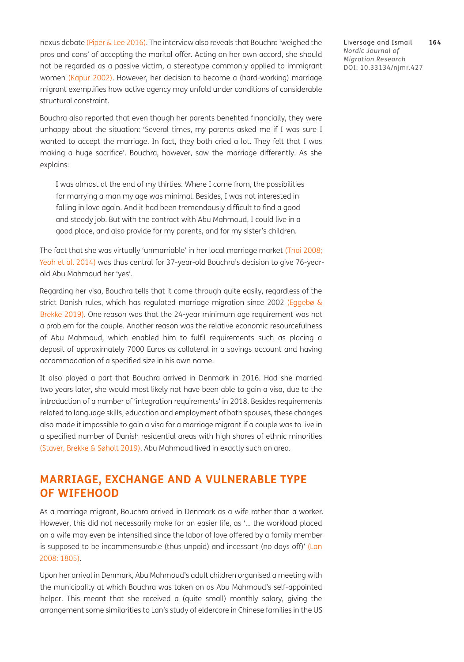nexus debate [\(Piper & Lee 2016\)](#page-16-1). The interview also reveals that Bouchra 'weighed the pros and cons' of accepting the marital offer. Acting on her own accord, she should not be regarded as a passive victim, a stereotype commonly applied to immigrant women ([Kapur 2002\)](#page-15-14). However, her decision to become a (hard-working) marriage migrant exemplifies how active agency may unfold under conditions of considerable structural constraint.

Bouchra also reported that even though her parents benefited financially, they were unhappy about the situation: 'Several times, my parents asked me if I was sure I wanted to accept the marriage. In fact, they both cried a lot. They felt that I was making a huge sacrifice'. Bouchra, however, saw the marriage differently. As she explains:

I was almost at the end of my thirties. Where I come from, the possibilities for marrying a man my age was minimal. Besides, I was not interested in falling in love again. And it had been tremendously difficult to find a good and steady job. But with the contract with Abu Mahmoud, I could live in a good place, and also provide for my parents, and for my sister's children.

The fact that she was virtually 'unmarriable' in her local marriage market (Thai 2008; Yeoh et al. 2014) was thus central for 37-year-old Bouchra's decision to give 76-yearold Abu Mahmoud her 'yes'.

Regarding her visa, Bouchra tells that it came through quite easily, regardless of the strict Danish rules, which has regulated marriage migration since 2002 (Eggebø & Brekke 2019). One reason was that the 24-year minimum age requirement was not a problem for the couple. Another reason was the relative economic resourcefulness of Abu Mahmoud, which enabled him to fulfil requirements such as placing a deposit of approximately 7000 Euros as collateral in a savings account and having accommodation of a specified size in his own name.

It also played a part that Bouchra arrived in Denmark in 2016. Had she married two years later, she would most likely not have been able to gain a visa, due to the introduction of a number of 'integration requirements' in 2018. Besides requirements related to language skills, education and employment of both spouses, these changes also made it impossible to gain a visa for a marriage migrant if a couple was to live in a specified number of Danish residential areas with high shares of ethnic minorities (Staver, Brekke & Søholt 2019). Abu Mahmoud lived in exactly such an area.

## **MARRIAGE, EXCHANGE AND A VULNERABLE TYPE OF WIFEHOOD**

As a marriage migrant, Bouchra arrived in Denmark as a wife rather than a worker. However, this did not necessarily make for an easier life, as '… the workload placed on a wife may even be intensified since the labor of love offered by a family member is supposed to be incommensurable (thus unpaid) and incessant (no days off)' (Lan [2008: 1805\)](#page-15-15).

Upon her arrival in Denmark, Abu Mahmoud's adult children organised a meeting with the municipality at which Bouchra was taken on as Abu Mahmoud's self-appointed helper. This meant that she received a (quite small) monthly salary, giving the arrangement some similarities to Lan's study of eldercare in Chinese families in the US

Liversage and Ismail **164** *Nordic Journal of Migration Research* DOI: [10.33134/njmr.427](https://doi.org/10.33134/njmr.427)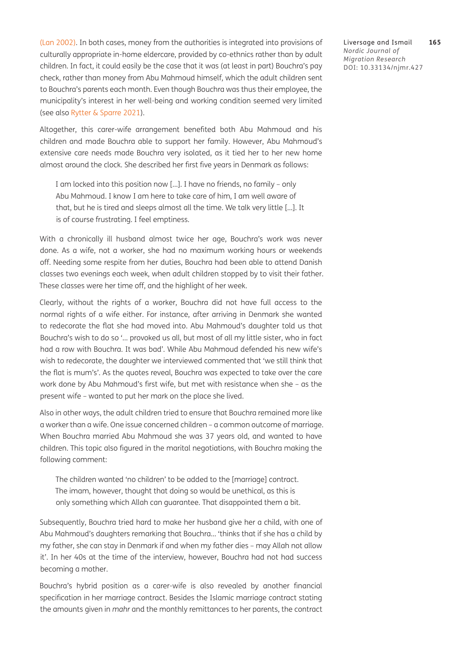[\(Lan 2002](#page-15-10)). In both cases, money from the authorities is integrated into provisions of culturally appropriate in-home eldercare, provided by co-ethnics rather than by adult children. In fact, it could easily be the case that it was (at least in part) Bouchra's pay check, rather than money from Abu Mahmoud himself, which the adult children sent to Bouchra's parents each month. Even though Bouchra was thus their employee, the municipality's interest in her well-being and working condition seemed very limited (see also [Rytter & Sparre 2021](#page-16-16)).

Altogether, this carer-wife arrangement benefited both Abu Mahmoud and his children and made Bouchra able to support her family. However, Abu Mahmoud's extensive care needs made Bouchra very isolated, as it tied her to her new home almost around the clock. She described her first five years in Denmark as follows:

I am locked into this position now […]. I have no friends, no family – only Abu Mahmoud. I know I am here to take care of him, I am well aware of that, but he is tired and sleeps almost all the time. We talk very little […]. It is of course frustrating. I feel emptiness.

With a chronically ill husband almost twice her age, Bouchra's work was never done. As a wife, not a worker, she had no maximum working hours or weekends off. Needing some respite from her duties, Bouchra had been able to attend Danish classes two evenings each week, when adult children stopped by to visit their father. These classes were her time off, and the highlight of her week.

Clearly, without the rights of a worker, Bouchra did not have full access to the normal rights of a wife either. For instance, after arriving in Denmark she wanted to redecorate the flat she had moved into. Abu Mahmoud's daughter told us that Bouchra's wish to do so '… provoked us all, but most of all my little sister, who in fact had a row with Bouchra. It was bad'. While Abu Mahmoud defended his new wife's wish to redecorate, the daughter we interviewed commented that 'we still think that the flat is mum's'. As the quotes reveal, Bouchra was expected to take over the care work done by Abu Mahmoud's first wife, but met with resistance when she – as the present wife – wanted to put her mark on the place she lived.

Also in other ways, the adult children tried to ensure that Bouchra remained more like a worker than a wife. One issue concerned children – a common outcome of marriage. When Bouchra married Abu Mahmoud she was 37 years old, and wanted to have children. This topic also figured in the marital negotiations, with Bouchra making the following comment:

The children wanted 'no children' to be added to the [marriage] contract. The imam, however, thought that doing so would be unethical, as this is only something which Allah can guarantee. That disappointed them a bit.

Subsequently, Bouchra tried hard to make her husband give her a child, with one of Abu Mahmoud's daughters remarking that Bouchra… 'thinks that if she has a child by my father, she can stay in Denmark if and when my father dies – may Allah not allow it'. In her 40s at the time of the interview, however, Bouchra had not had success becoming a mother.

Bouchra's hybrid position as a carer-wife is also revealed by another financial specification in her marriage contract. Besides the Islamic marriage contract stating the amounts given in *mahr* and the monthly remittances to her parents, the contract

Liversage and Ismail **165** *Nordic Journal of Migration Research* DOI: [10.33134/njmr.427](https://doi.org/10.33134/njmr.427)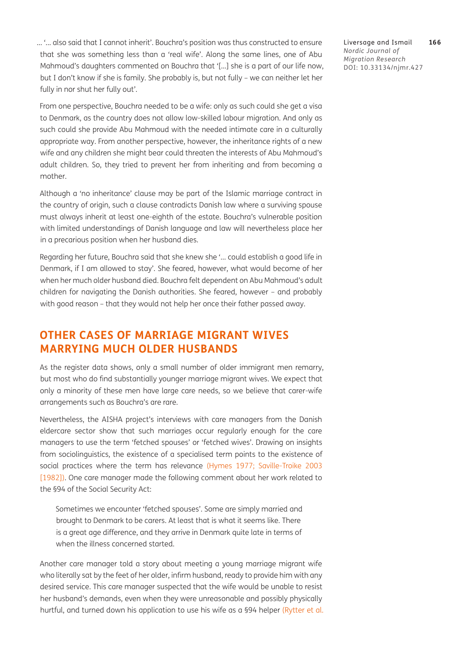… '... also said that I cannot inherit'. Bouchra's position was thus constructed to ensure that she was something less than a 'real wife'. Along the same lines, one of Abu Mahmoud's daughters commented on Bouchra that '[...] she is a part of our life now, but I don't know if she is family. She probably is, but not fully – we can neither let her fully in nor shut her fully out'.

From one perspective, Bouchra needed to be a wife: only as such could she get a visa to Denmark, as the country does not allow low-skilled labour migration. And only as such could she provide Abu Mahmoud with the needed intimate care in a culturally appropriate way. From another perspective, however, the inheritance rights of a new wife and any children she might bear could threaten the interests of Abu Mahmoud's adult children. So, they tried to prevent her from inheriting and from becoming a mother.

Although a 'no inheritance' clause may be part of the Islamic marriage contract in the country of origin, such a clause contradicts Danish law where a surviving spouse must always inherit at least one-eighth of the estate. Bouchra's vulnerable position with limited understandings of Danish language and law will nevertheless place her in a precarious position when her husband dies.

Regarding her future, Bouchra said that she knew she '… could establish a good life in Denmark, if I am allowed to stay'. She feared, however, what would become of her when her much older husband died. Bouchra felt dependent on Abu Mahmoud's adult children for navigating the Danish authorities. She feared, however – and probably with good reason – that they would not help her once their father passed away.

### **OTHER CASES OF MARRIAGE MIGRANT WIVES MARRYING MUCH OLDER HUSBANDS**

As the register data shows, only a small number of older immigrant men remarry, but most who do find substantially younger marriage migrant wives. We expect that only a minority of these men have large care needs, so we believe that carer-wife arrangements such as Bouchra's are rare.

Nevertheless, the AISHA project's interviews with care managers from the Danish eldercare sector show that such marriages occur regularly enough for the care managers to use the term 'fetched spouses' or 'fetched wives'. Drawing on insights from sociolinguistics, the existence of a specialised term points to the existence of social practices where the term has relevance ([Hymes 1977;](#page-15-16) [Saville-Troike 2003](#page-17-4)  [\[1982\]\)](#page-17-4). One care manager made the following comment about her work related to the §94 of the Social Security Act:

Sometimes we encounter 'fetched spouses'. Some are simply married and brought to Denmark to be carers. At least that is what it seems like. There is a great age difference, and they arrive in Denmark quite late in terms of when the illness concerned started.

Another care manager told a story about meeting a young marriage migrant wife who literally sat by the feet of her older, infirm husband, ready to provide him with any desired service. This care manager suspected that the wife would be unable to resist her husband's demands, even when they were unreasonable and possibly physically hurtful, and turned down his application to use his wife as a §94 helper ([Rytter et al.](#page-16-12)

Liversage and Ismail **166** *Nordic Journal of Migration Research* DOI: [10.33134/njmr.427](https://doi.org/10.33134/njmr.427)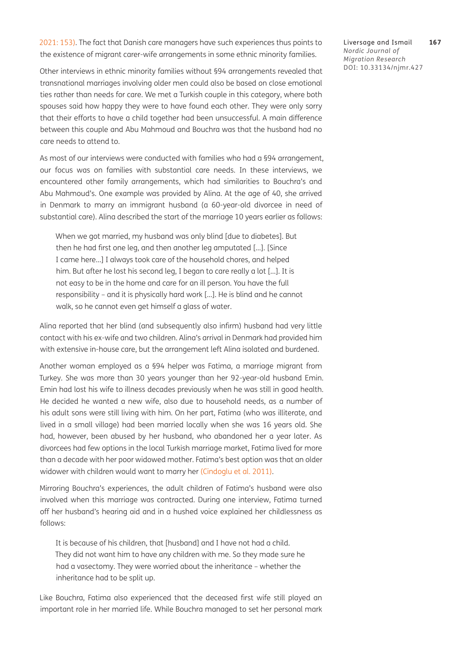[2021: 153\)](#page-16-12). The fact that Danish care managers have such experiences thus points to the existence of migrant carer-wife arrangements in some ethnic minority families.

Liversage and Ismail **167** *Nordic Journal of Migration Research* DOI: [10.33134/njmr.427](https://doi.org/10.33134/njmr.427)

Other interviews in ethnic minority families without §94 arrangements revealed that transnational marriages involving older men could also be based on close emotional ties rather than needs for care. We met a Turkish couple in this category, where both spouses said how happy they were to have found each other. They were only sorry that their efforts to have a child together had been unsuccessful. A main difference between this couple and Abu Mahmoud and Bouchra was that the husband had no care needs to attend to.

As most of our interviews were conducted with families who had a §94 arrangement, our focus was on families with substantial care needs. In these interviews, we encountered other family arrangements, which had similarities to Bouchra's and Abu Mahmoud's. One example was provided by Alina. At the age of 40, she arrived in Denmark to marry an immigrant husband (a 60-year-old divorcee in need of substantial care). Alina described the start of the marriage 10 years earlier as follows:

When we got married, my husband was only blind [due to diabetes]. But then he had first one leg, and then another leg amputated […]. [Since I came here…] I always took care of the household chores, and helped him. But after he lost his second leg, I began to care really a lot […]. It is not easy to be in the home and care for an ill person. You have the full responsibility – and it is physically hard work […]. He is blind and he cannot walk, so he cannot even get himself a glass of water.

Alina reported that her blind (and subsequently also infirm) husband had very little contact with his ex-wife and two children. Alina's arrival in Denmark had provided him with extensive in-house care, but the arrangement left Alina isolated and burdened.

Another woman employed as a §94 helper was Fatima, a marriage migrant from Turkey. She was more than 30 years younger than her 92-year-old husband Emin. Emin had lost his wife to illness decades previously when he was still in good health. He decided he wanted a new wife, also due to household needs, as a number of his adult sons were still living with him. On her part, Fatima (who was illiterate, and lived in a small village) had been married locally when she was 16 years old. She had, however, been abused by her husband, who abandoned her a year later. As divorcees had few options in the local Turkish marriage market, Fatima lived for more than a decade with her poor widowed mother. Fatima's best option was that an older widower with children would want to marry her [\(Cindoglu et al. 2011](#page-14-4)).

Mirroring Bouchra's experiences, the adult children of Fatima's husband were also involved when this marriage was contracted. During one interview, Fatima turned off her husband's hearing aid and in a hushed voice explained her childlessness as follows:

It is because of his children, that [husband] and I have not had a child. They did not want him to have any children with me. So they made sure he had a vasectomy. They were worried about the inheritance – whether the inheritance had to be split up.

Like Bouchra, Fatima also experienced that the deceased first wife still played an important role in her married life. While Bouchra managed to set her personal mark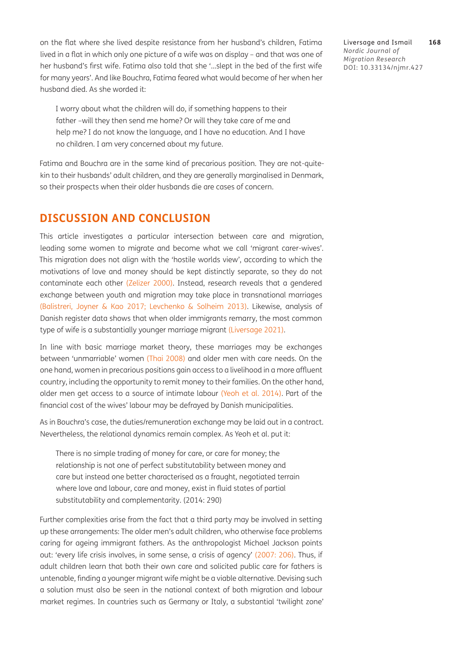on the flat where she lived despite resistance from her husband's children, Fatima lived in a flat in which only one picture of a wife was on display – and that was one of her husband's first wife. Fatima also told that she '…slept in the bed of the first wife for many years'. And like Bouchra, Fatima feared what would become of her when her husband died. As she worded it:

I worry about what the children will do, if something happens to their father –will they then send me home? Or will they take care of me and help me? I do not know the language, and I have no education. And I have no children. I am very concerned about my future.

Fatima and Bouchra are in the same kind of precarious position. They are not-quitekin to their husbands' adult children, and they are generally marginalised in Denmark, so their prospects when their older husbands die are cases of concern.

#### **DISCUSSION AND CONCLUSION**

This article investigates a particular intersection between care and migration, leading some women to migrate and become what we call 'migrant carer-wives'. This migration does not align with the 'hostile worlds view', according to which the motivations of love and money should be kept distinctly separate, so they do not contaminate each other (Zelizer 2000). Instead, research reveals that a gendered exchange between youth and migration may take place in transnational marriages [\(Balistreri, Joyner & Kao 2017](#page-13-2); [Levchenko & Solheim 2013\)](#page-15-2). Likewise, analysis of Danish register data shows that when older immigrants remarry, the most common type of wife is a substantially younger marriage migrant [\(Liversage 2021\)](#page-16-13).

In line with basic marriage market theory, these marriages may be exchanges between 'unmarriable' women (Thai 2008) and older men with care needs. On the one hand, women in precarious positions gain access to a livelihood in a more affluent country, including the opportunity to remit money to their families. On the other hand, older men get access to a source of intimate labour (Yeoh et al. 2014). Part of the financial cost of the wives' labour may be defrayed by Danish municipalities.

As in Bouchra's case, the duties/remuneration exchange may be laid out in a contract. Nevertheless, the relational dynamics remain complex. As Yeoh et al. put it:

There is no simple trading of money for care, or care for money; the relationship is not one of perfect substitutability between money and care but instead one better characterised as a fraught, negotiated terrain where love and labour, care and money, exist in fluid states of partial substitutability and complementarity. (2014: 290)

Further complexities arise from the fact that a third party may be involved in setting up these arrangements: The older men's adult children, who otherwise face problems caring for ageing immigrant fathers. As the anthropologist Michael Jackson points out: 'every life crisis involves, in some sense, a crisis of agency' [\(2007: 206\)](#page-15-17). Thus, if adult children learn that both their own care and solicited public care for fathers is untenable, finding a younger migrant wife might be a viable alternative. Devising such a solution must also be seen in the national context of both migration and labour market regimes. In countries such as Germany or Italy, a substantial 'twilight zone'

Liversage and Ismail **168** *Nordic Journal of Migration Research* DOI: [10.33134/njmr.427](https://doi.org/10.33134/njmr.427)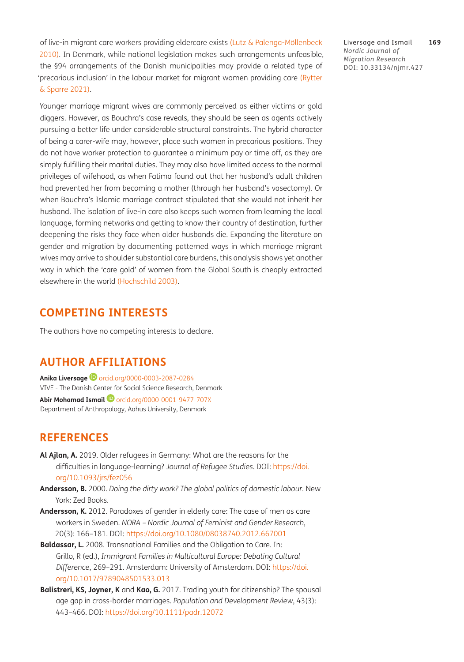of live-in migrant care workers providing eldercare exists (Lutz & Palenga-Möllenbeck 2010). In Denmark, while national legislation makes such arrangements unfeasible, the §94 arrangements of the Danish municipalities may provide a related type of 'precarious inclusion' in the labour market for migrant women providing care ([Rytter](#page-16-16) [& Sparre 2021](#page-16-16)).

Younger marriage migrant wives are commonly perceived as either victims or gold diggers. However, as Bouchra's case reveals, they should be seen as agents actively pursuing a better life under considerable structural constraints. The hybrid character of being a carer-wife may, however, place such women in precarious positions. They do not have worker protection to guarantee a minimum pay or time off, as they are simply fulfilling their marital duties. They may also have limited access to the normal privileges of wifehood, as when Fatima found out that her husband's adult children had prevented her from becoming a mother (through her husband's vasectomy). Or when Bouchra's Islamic marriage contract stipulated that she would not inherit her husband. The isolation of live-in care also keeps such women from learning the local language, forming networks and getting to know their country of destination, further deepening the risks they face when older husbands die. Expanding the literature on gender and migration by documenting patterned ways in which marriage migrant wives may arrive to shoulder substantial care burdens, this analysis shows yet another way in which the 'care gold' of women from the Global South is cheaply extracted elsewhere in the world [\(Hochschild 2003](#page-15-18)).

#### **COMPETING INTERESTS**

The authors have no competing interests to declare.

### <span id="page-13-0"></span>**AUTHOR AFFILIATIONS**

**Anika Liversage @** [orcid.org/0000-0003-2087-0284](https://orcid.org/0000-0003-2087-0284) VIVE - The Danish Center for Social Science Research, Denmark **Abir Mohamad Ismail**[orcid.org/0000-0001-9477-707X](https://orcid.org/0000-0001-9477-707X) Department of Anthropology, Aahus University, Denmark

### **REFERENCES**

- <span id="page-13-3"></span>**Al Ajlan, A.** 2019. Older refugees in Germany: What are the reasons for the difficulties in language-learning? *Journal of Refugee Studies*. DOI: [https://doi.](https://doi.org/10.1093/jrs/fez056) [org/10.1093/jrs/fez056](https://doi.org/10.1093/jrs/fez056)
- <span id="page-13-1"></span>**Andersson, B.** 2000. *Doing the dirty work? The global politics of domestic labour*. New York: Zed Books.
- <span id="page-13-4"></span>**Andersson, K.** 2012. Paradoxes of gender in elderly care: The case of men as care workers in Sweden. *NORA – Nordic Journal of Feminist and Gender Research*, 20(3): 166–181. DOI:<https://doi.org/10.1080/08038740.2012.667001>
- <span id="page-13-5"></span>**Baldassar, L.** 2008. Transnational Families and the Obligation to Care. In: Grillo, R (ed.), *Immigrant Families in Multicultural Europe: Debating Cultural Difference*, 269–291. Amsterdam: University of Amsterdam. DOI: [https://doi.](https://doi.org/10.1017/9789048501533.013) [org/10.1017/9789048501533.013](https://doi.org/10.1017/9789048501533.013)
- <span id="page-13-2"></span>**Balistreri, KS, Joyner, K** and **Kao, G.** 2017. Trading youth for citizenship? The spousal age gap in cross-border marriages. *Population and Development Review*, 43(3): 443–466. DOI: <https://doi.org/10.1111/padr.12072>

Liversage and Ismail **169** *Nordic Journal of Migration Research* DOI: [10.33134/njmr.427](https://doi.org/10.33134/njmr.427)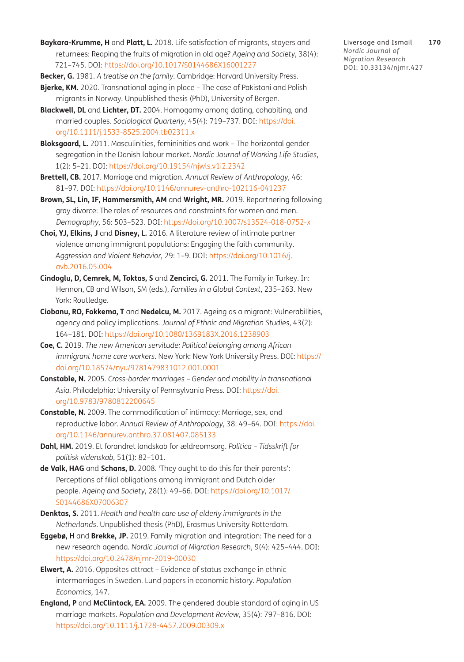<span id="page-14-10"></span>**Baykara-Krumme, H** and **Platt, L.** 2018. Life satisfaction of migrants, stayers and returnees: Reaping the fruits of migration in old age? *Ageing and Society*, 38(4): 721–745. DOI: <https://doi.org/10.1017/S0144686X16001227>

<span id="page-14-1"></span>**Becker, G.** 1981. *A treatise on the family*. Cambridge: Harvard University Press.

- <span id="page-14-16"></span>**Bjerke, KM.** 2020. Transnational aging in place – The case of Pakistani and Polish migrants in Norway*.* Unpublished thesis (PhD), University of Bergen.
- <span id="page-14-5"></span>**Blackwell, DL** and **Lichter, DT.** 2004. Homogamy among dating, cohabiting, and married couples. *Sociological Quarterly*, 45(4): 719–737. DOI: [https://doi.](https://doi.org/10.1111/j.1533-8525.2004.tb02311.x) [org/10.1111/j.1533-8525.2004.tb02311.x](https://doi.org/10.1111/j.1533-8525.2004.tb02311.x)
- <span id="page-14-15"></span>**Bloksgaard, L.** 2011. Masculinities, femininities and work – The horizontal gender segregation in the Danish labour market. *Nordic Journal of Working Life Studies*, 1(2): 5–21. DOI: <https://doi.org/10.19154/njwls.v1i2.2342>
- <span id="page-14-2"></span>**Brettell, CB.** 2017. Marriage and migration. *Annual Review of Anthropology*, 46: 81–97. DOI: <https://doi.org/10.1146/annurev-anthro-102116-041237>
- <span id="page-14-14"></span>**Brown, SL, Lin, IF, Hammersmith, AM** and **Wright, MR.** 2019. Repartnering following gray divorce: The roles of resources and constraints for women and men. *Demography*, 56: 503–523. DOI:<https://doi.org/10.1007/s13524-018-0752-x>
- <span id="page-14-9"></span>**Choi, YJ, Elkins, J** and **Disney, L.** 2016. A literature review of intimate partner violence among immigrant populations: Engaging the faith community. *Aggression and Violent Behavior*, 29: 1–9. DOI: [https://doi.org/10.1016/j.](https://doi.org/10.1016/j.avb.2016.05.004) [avb.2016.05.004](https://doi.org/10.1016/j.avb.2016.05.004)
- <span id="page-14-4"></span>**Cindoglu, D, Cemrek, M, Toktas, S** and **Zencirci, G.** 2011. The Family in Turkey. In: Hennon, CB and Wilson, SM (eds.), *Families in a Global Context*, 235–263. New York: Routledge.
- <span id="page-14-11"></span>**Ciobanu, RO, Fokkema, T** and **Nedelcu, M.** 2017. Ageing as a migrant: Vulnerabilities, agency and policy implications. *Journal of Ethnic and Migration Studies*, 43(2): 164–181. DOI:<https://doi.org/10.1080/1369183X.2016.1238903>
- <span id="page-14-0"></span>**Coe, C.** 2019. *The new American servitude: Political belonging among African immigrant home care workers*. New York: New York University Press. DOI: [https://](https://doi.org/10.18574/nyu/9781479831012.001.0001) [doi.org/10.18574/nyu/9781479831012.001.0001](https://doi.org/10.18574/nyu/9781479831012.001.0001)
- <span id="page-14-8"></span>**Constable, N.** 2005. *Cross-border marriages – Gender and mobility in transnational Asia.* Philadelphia: University of Pennsylvania Press. DOI: [https://doi.](https://doi.org/10.9783/9780812200645) [org/10.9783/9780812200645](https://doi.org/10.9783/9780812200645)
- <span id="page-14-3"></span>**Constable, N.** 2009. The commodification of intimacy: Marriage, sex, and reproductive labor. *Annual Review of Anthropology*, 38: 49–64. DOI: [https://doi.](https://doi.org/10.1146/annurev.anthro.37.081407.085133) [org/10.1146/annurev.anthro.37.081407.085133](https://doi.org/10.1146/annurev.anthro.37.081407.085133)
- <span id="page-14-12"></span>**Dahl, HM.** 2019. Et forandret landskab for ældreomsorg. *Politica – Tidsskrift for politisk videnskab*, 51(1): 82–101.
- **de Valk, HAG** and **Schans, D.** 2008. 'They ought to do this for their parents': Perceptions of filial obligations among immigrant and Dutch older people. *Ageing and Society*, 28(1): 49–66. DOI: [https://doi.org/10.1017/](https://doi.org/10.1017/S0144686X07006307) [S0144686X07006307](https://doi.org/10.1017/S0144686X07006307)
- <span id="page-14-13"></span>**Denktas, S.** 2011. *Health and health care use of elderly immigrants in the Netherlands*. Unpublished thesis (PhD), Erasmus University Rotterdam.
- **Eggebø, H** and **Brekke, JP.** 2019. Family migration and integration: The need for a new research agenda. *Nordic Journal of Migration Research*, 9(4): 425–444. DOI: <https://doi.org/10.2478/njmr-2019-00030>
- <span id="page-14-7"></span>**Elwert, A.** 2016. Opposites attract – Evidence of status exchange in ethnic intermarriages in Sweden. Lund papers in economic history. *Population Economics*, 147.
- <span id="page-14-6"></span>**England, P** and **McClintock, EA.** 2009. The gendered double standard of aging in US marriage markets. *Population and Development Review*, 35(4): 797–816. DOI: <https://doi.org/10.1111/j.1728-4457.2009.00309.x>

Liversage and Ismail **170** *Nordic Journal of Migration Research* DOI: [10.33134/njmr.427](https://doi.org/10.33134/njmr.427)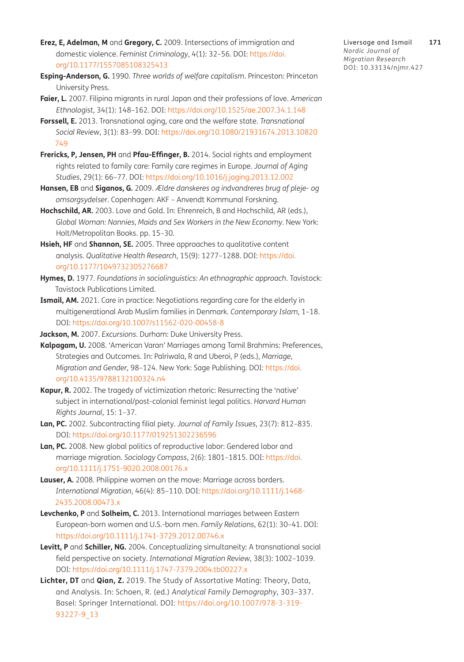- <span id="page-15-5"></span>**Erez, E, Adelman, M** and **Gregory, C.** 2009. Intersections of immigration and domestic violence. *Feminist Criminology*, 4(1): 32–56. DOI: [https://doi.](https://doi.org/10.1177/1557085108325413) [org/10.1177/1557085108325413](https://doi.org/10.1177/1557085108325413)
- <span id="page-15-7"></span>**Esping-Anderson, G.** 1990. *Three worlds of welfare capitalism*. Princeston: Princeton University Press.
- <span id="page-15-4"></span>**Faier, L.** 2007. Filipina migrants in rural Japan and their professions of love. *American Ethnologist*, 34(1): 148–162. DOI: <https://doi.org/10.1525/ae.2007.34.1.148>
- <span id="page-15-11"></span>**Forssell, E.** 2013. Transnational aging, care and the welfare state. *Transnational Social Review*, 3(1): 83–99. DOI: [https://doi.org/10.1080/21931674.2013.10820](https://doi.org/10.1080/21931674.2013.10820749) [749](https://doi.org/10.1080/21931674.2013.10820749)
- <span id="page-15-12"></span>**Frericks, P, Jensen, PH** and **Pfau-Effinger, B.** 2014. Social rights and employment rights related to family care: Family care regimes in Europe. *Journal of Aging Studies*, 29(1): 66–77. DOI: <https://doi.org/10.1016/j.jaging.2013.12.002>
- <span id="page-15-8"></span>**Hansen, EB** and **Siganos, G.** 2009. *Ældre danskeres og indvandreres brug af pleje- og omsorgsydelser*. Copenhagen: AKF – Anvendt Kommunal Forskning.
- <span id="page-15-18"></span>**Hochschild, AR.** 2003. Love and Gold. In: Ehrenreich, B and Hochschild, AR (eds.), *Global Woman: Nannies, Maids and Sex Workers in the New Economy*. New York: Holt/Metropolitan Books. pp. 15–30.
- <span id="page-15-13"></span>**Hsieh, HF** and **Shannon, SE.** 2005. Three approaches to qualitative content analysis. *Qualitative Health Research*, 15(9): 1277–1288. DOI: [https://doi.](https://doi.org/10.1177/1049732305276687) [org/10.1177/1049732305276687](https://doi.org/10.1177/1049732305276687)
- <span id="page-15-16"></span>**Hymes, D.** 1977. *Foundations in sociolinguistics: An ethnographic approach*. Tavistock: Tavistock Publications Limited.
- <span id="page-15-9"></span>**Ismail, AM.** 2021. Care in practice: Negotiations regarding care for the elderly in multigenerational Arab Muslim families in Denmark*. Contemporary Islam*, 1–18. DOI: <https://doi.org/10.1007/s11562-020-00458-8>
- <span id="page-15-17"></span>**Jackson, M.** 2007. *Excursions*. Durham: Duke University Press.
- <span id="page-15-3"></span>**Kalpagam, U.** 2008. 'American Varan' Marriages among Tamil Brahmins: Preferences, Strategies and Outcomes. In: Palriwala, R and Uberoi, P (eds.), *Marriage, Migration and Gender,* 98–124. New York: Sage Publishing. DOI: [https://doi.](https://doi.org/10.4135/9788132100324.n4) [org/10.4135/9788132100324.n4](https://doi.org/10.4135/9788132100324.n4)
- <span id="page-15-14"></span>**Kapur, R.** 2002. The tragedy of victimization rhetoric: Resurrecting the 'native' subject in international/post-colonial feminist legal politics. *Harvard Human Rights Journal*, 15: 1–37.
- <span id="page-15-10"></span>**Lan, PC.** 2002. Subcontracting filial piety. *Journal of Family Issues*, 23(7): 812–835. DOI: <https://doi.org/10.1177/019251302236596>
- <span id="page-15-15"></span>**Lan, PC.** 2008. New global politics of reproductive labor: Gendered labor and marriage migration. *Sociology Compass*, 2(6): 1801–1815. DOI: [https://doi.](https://doi.org/10.1111/j.1751-9020.2008.00176.x) [org/10.1111/j.1751-9020.2008.00176.x](https://doi.org/10.1111/j.1751-9020.2008.00176.x)
- <span id="page-15-0"></span>**Lauser, A.** 2008. Philippine women on the move: Marriage across borders. *International Migration*, 46(4): 85–110. DOI: [https://doi.org/10.1111/j.1468-](https://doi.org/10.1111/j.1468-2435.2008.00473.x) [2435.2008.00473.x](https://doi.org/10.1111/j.1468-2435.2008.00473.x)
- <span id="page-15-2"></span>**Levchenko, P** and **Solheim, C.** 2013. International marriages between Eastern European-born women and U.S.-born men. *Family Relations*, 62(1): 30–41. DOI: <https://doi.org/10.1111/j.1741-3729.2012.00746.x>
- <span id="page-15-6"></span>**Levitt, P** and **Schiller, NG.** 2004. Conceptualizing simultaneity: A transnational social field perspective on society. *International Migration Review*, 38(3): 1002–1039. DOI: <https://doi.org/10.1111/j.1747-7379.2004.tb00227.x>
- <span id="page-15-1"></span>**Lichter, DT** and **Qian, Z.** 2019. The Study of Assortative Mating: Theory, Data, and Analysis. In: Schoen, R. (ed.) *Analytical Family Demography*, 303–337. Basel: Springer International. DOI: [https://doi.org/10.1007/978-3-319-](https://doi.org/10.1007/978-3-319-93227-9_13) [93227-9\\_13](https://doi.org/10.1007/978-3-319-93227-9_13)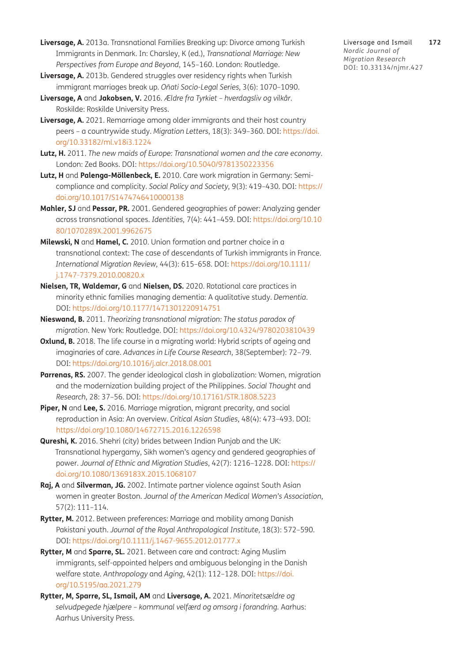- <span id="page-16-6"></span>**Liversage, A.** 2013a. Transnational Families Breaking up: Divorce among Turkish Immigrants in Denmark. In: Charsley, K (ed.), *Transnational Marriage: New Perspectives from Europe and Beyond*, 145–160. London: Routledge.
- <span id="page-16-9"></span>**Liversage, A.** 2013b. Gendered struggles over residency rights when Turkish immigrant marriages break up*. Oñati Socio-Legal Series*, 3(6): 1070–1090.
- <span id="page-16-11"></span>**Liversage, A** and **Jakobsen, V.** 2016*. Ældre fra Tyrkiet – hverdagsliv og vilkår*. Roskilde: Roskilde University Press.
- <span id="page-16-13"></span>**Liversage, A.** 2021. Remarriage among older immigrants and their host country peers – a countrywide study. *Migration Letters*, 18(3): 349–360. DOI: [https://doi.](https://doi.org/10.33182/ml.v18i3.1224) [org/10.33182/ml.v18i3.1224](https://doi.org/10.33182/ml.v18i3.1224)
- <span id="page-16-0"></span>**Lutz, H.** 2011. *The new maids of Europe: Transnational women and the care economy*. London: Zed Books. DOI:<https://doi.org/10.5040/9781350223356>
- **Lutz, H** and **Palenga-Möllenbeck, E.** 2010. Care work migration in Germany: Semicompliance and complicity. *Social Policy and Society*, 9(3): 419–430. DOI: [https://](https://doi.org/10.1017/S1474746410000138) [doi.org/10.1017/S1474746410000138](https://doi.org/10.1017/S1474746410000138)
- <span id="page-16-7"></span>**Mahler, SJ** and **Pessar, PR.** 2001. Gendered geographies of power: Analyzing gender across transnational spaces. *Identities*, 7(4): 441–459. DOI: [https://doi.org/10.10](https://doi.org/10.1080/1070289X.2001.9962675) [80/1070289X.2001.9962675](https://doi.org/10.1080/1070289X.2001.9962675)
- <span id="page-16-2"></span>**Milewski, N** and **Hamel, C.** 2010. Union formation and partner choice in a transnational context: The case of descendants of Turkish immigrants in France. *International Migration Review,* 44(3): 615–658. DOI: [https://doi.org/10.1111/](https://doi.org/10.1111/j.1747-7379.2010.00820.x) [j.1747-7379.2010.00820.x](https://doi.org/10.1111/j.1747-7379.2010.00820.x)
- <span id="page-16-14"></span>**Nielsen, TR, Waldemar, G** and **Nielsen, DS.** 2020. Rotational care practices in minority ethnic families managing dementia: A qualitative study. *Dementia*. DOI: <https://doi.org/10.1177/1471301220914751>
- <span id="page-16-5"></span>**Nieswand, B.** 2011. *Theorizing transnational migration: The status paradox of migration*. New York: Routledge. DOI:<https://doi.org/10.4324/9780203810439>
- <span id="page-16-10"></span>**Oxlund, B.** 2018. The life course in a migrating world: Hybrid scripts of ageing and imaginaries of care. *Advances in Life Course Research*, 38(September): 72–79. DOI: <https://doi.org/10.1016/j.alcr.2018.08.001>
- <span id="page-16-15"></span>Parrenas, RS. 2007. The gender ideological clash in globalization: Women, migration and the modernization building project of the Philippines. *Social Thought* and *Research*, 28: 37–56. DOI: <https://doi.org/10.17161/STR.1808.5223>
- <span id="page-16-1"></span>**Piper, N** and **Lee, S.** 2016. Marriage migration, migrant precarity, and social reproduction in Asia: An overview. *Critical Asian Studies*, 48(4): 473–493. DOI: <https://doi.org/10.1080/14672715.2016.1226598>
- <span id="page-16-4"></span>**Qureshi, K.** 2016. Shehri (city) brides between Indian Punjab and the UK: Transnational hypergamy, Sikh women's agency and gendered geographies of power. *Journal of Ethnic and Migration Studies*, 42(7): 1216–1228. DOI: [https://](https://doi.org/10.1080/1369183X.2015.1068107) [doi.org/10.1080/1369183X.2015.1068107](https://doi.org/10.1080/1369183X.2015.1068107)
- <span id="page-16-8"></span>**Raj, A** and **Silverman, JG.** 2002. Intimate partner violence against South Asian women in greater Boston. *Journal of the American Medical Women's Association*, 57(2): 111–114.
- <span id="page-16-3"></span>**Rytter, M.** 2012. Between preferences: Marriage and mobility among Danish Pakistani youth. *Journal of the Royal Anthropological Institute*, 18(3): 572–590. DOI: <https://doi.org/10.1111/j.1467-9655.2012.01777.x>
- <span id="page-16-16"></span>**Rytter, M** and **Sparre, SL.** 2021. Between care and contract: Aging Muslim immigrants, self-appointed helpers and ambiguous belonging in the Danish welfare state. *Anthropology* and *Aging*, 42(1): 112–128. DOI: [https://doi.](https://doi.org/10.5195/aa.2021.279) [org/10.5195/aa.2021.279](https://doi.org/10.5195/aa.2021.279)
- <span id="page-16-12"></span>**Rytter, M, Sparre, SL, Ismail, AM** and **Liversage, A.** 2021. *Minoritetsældre og selvudpegede hjælpere – kommunal velfærd og omsorg i forandring.* Aarhus: Aarhus University Press.